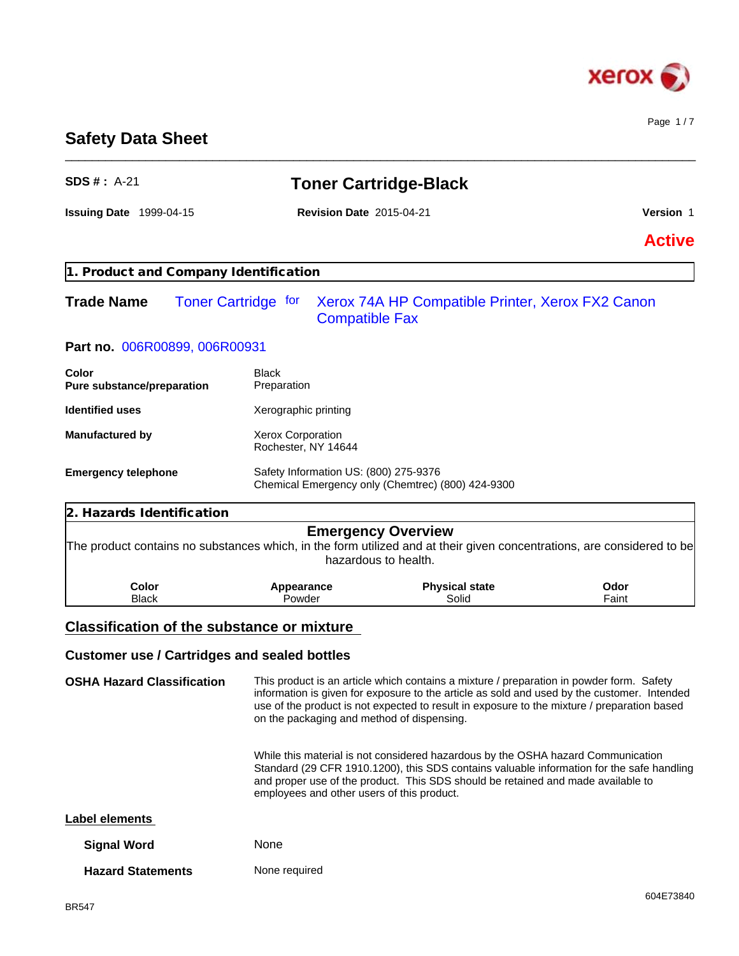

Page 1 / 7

# **Safety Data Sheet**

| <b>SDS #: A-21</b>                                                                                                     | <b>Toner Cartridge-Black</b>                        |                                                                                                                                                                                                                                                                                        |                  |  |  |
|------------------------------------------------------------------------------------------------------------------------|-----------------------------------------------------|----------------------------------------------------------------------------------------------------------------------------------------------------------------------------------------------------------------------------------------------------------------------------------------|------------------|--|--|
| <b>Issuing Date 1999-04-15</b>                                                                                         | <b>Revision Date 2015-04-21</b>                     |                                                                                                                                                                                                                                                                                        | <b>Version 1</b> |  |  |
|                                                                                                                        |                                                     |                                                                                                                                                                                                                                                                                        | <b>Active</b>    |  |  |
| 1. Product and Company Identification                                                                                  |                                                     |                                                                                                                                                                                                                                                                                        |                  |  |  |
| <b>Trade Name</b>                                                                                                      | <b>Toner Cartridge for</b><br><b>Compatible Fax</b> | Xerox 74A HP Compatible Printer, Xerox FX2 Canon                                                                                                                                                                                                                                       |                  |  |  |
| Part no. 006R00899, 006R00931                                                                                          |                                                     |                                                                                                                                                                                                                                                                                        |                  |  |  |
| Color<br>Pure substance/preparation                                                                                    | <b>Black</b><br>Preparation                         |                                                                                                                                                                                                                                                                                        |                  |  |  |
| <b>Identified uses</b>                                                                                                 | Xerographic printing                                |                                                                                                                                                                                                                                                                                        |                  |  |  |
| <b>Manufactured by</b>                                                                                                 | Xerox Corporation<br>Rochester, NY 14644            |                                                                                                                                                                                                                                                                                        |                  |  |  |
| <b>Emergency telephone</b>                                                                                             | Safety Information US: (800) 275-9376               | Chemical Emergency only (Chemtrec) (800) 424-9300                                                                                                                                                                                                                                      |                  |  |  |
| 2. Hazards Identification                                                                                              |                                                     |                                                                                                                                                                                                                                                                                        |                  |  |  |
| The product contains no substances which, in the form utilized and at their given concentrations, are considered to be |                                                     | <b>Emergency Overview</b><br>hazardous to health.                                                                                                                                                                                                                                      |                  |  |  |
| Color<br><b>Black</b>                                                                                                  | Appearance<br>Powder                                | <b>Physical state</b><br>Solid                                                                                                                                                                                                                                                         | Odor<br>Faint    |  |  |
| <b>Classification of the substance or mixture</b>                                                                      |                                                     |                                                                                                                                                                                                                                                                                        |                  |  |  |
| <b>Customer use / Cartridges and sealed bottles</b>                                                                    |                                                     |                                                                                                                                                                                                                                                                                        |                  |  |  |
| <b>OSHA Hazard Classification</b>                                                                                      | on the packaging and method of dispensing.          | This product is an article which contains a mixture / preparation in powder form. Safety<br>information is given for exposure to the article as sold and used by the customer. Intended<br>use of the product is not expected to result in exposure to the mixture / preparation based |                  |  |  |
|                                                                                                                        | employees and other users of this product.          | While this material is not considered hazardous by the OSHA hazard Communication<br>Standard (29 CFR 1910.1200), this SDS contains valuable information for the safe handling<br>and proper use of the product. This SDS should be retained and made available to                      |                  |  |  |
| <b>Label elements</b>                                                                                                  |                                                     |                                                                                                                                                                                                                                                                                        |                  |  |  |
| <b>Signal Word</b>                                                                                                     | None                                                |                                                                                                                                                                                                                                                                                        |                  |  |  |
| <b>Hazard Statements</b>                                                                                               | None required                                       |                                                                                                                                                                                                                                                                                        |                  |  |  |

\_\_\_\_\_\_\_\_\_\_\_\_\_\_\_\_\_\_\_\_\_\_\_\_\_\_\_\_\_\_\_\_\_\_\_\_\_\_\_\_\_\_\_\_\_\_\_\_\_\_\_\_\_\_\_\_\_\_\_\_\_\_\_\_\_\_\_\_\_\_\_\_\_\_\_\_\_\_\_\_\_\_\_\_\_\_\_\_\_\_\_\_\_\_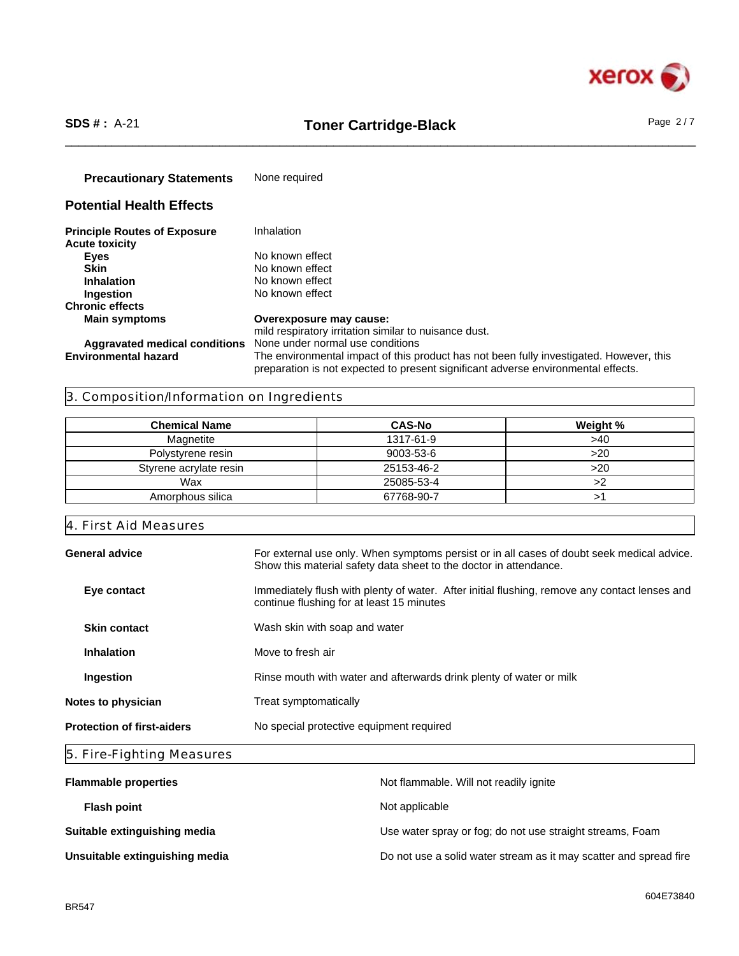

# \_\_\_\_\_\_\_\_\_\_\_\_\_\_\_\_\_\_\_\_\_\_\_\_\_\_\_\_\_\_\_\_\_\_\_\_\_\_\_\_\_\_\_\_\_\_\_\_\_\_\_\_\_\_\_\_\_\_\_\_\_\_\_\_\_\_\_\_\_\_\_\_\_\_\_\_\_\_\_\_\_\_\_\_\_\_\_\_\_\_\_\_\_\_ **SDS # :** A-21 **Toner Cartridge-Black** Page 2 / 7

**Precautionary Statements** None required

# **Potential Health Effects**

| <b>Principle Routes of Exposure</b> | Inhalation                                                                                                                                                                   |
|-------------------------------------|------------------------------------------------------------------------------------------------------------------------------------------------------------------------------|
| <b>Acute toxicity</b>               |                                                                                                                                                                              |
| <b>Eyes</b>                         | No known effect                                                                                                                                                              |
| <b>Skin</b>                         | No known effect                                                                                                                                                              |
| <b>Inhalation</b>                   | No known effect                                                                                                                                                              |
| <b>Ingestion</b>                    | No known effect                                                                                                                                                              |
| <b>Chronic effects</b>              |                                                                                                                                                                              |
| <b>Main symptoms</b>                | Overexposure may cause:                                                                                                                                                      |
|                                     | mild respiratory irritation similar to nuisance dust.                                                                                                                        |
|                                     | <b>Aggravated medical conditions</b> None under normal use conditions                                                                                                        |
| <b>Environmental hazard</b>         | The environmental impact of this product has not been fully investigated. However, this<br>preparation is not expected to present significant adverse environmental effects. |

# 3. Composition/Information on Ingredients

| <b>Chemical Name</b>   | <b>CAS-No</b> | Weight % |
|------------------------|---------------|----------|
| Magnetite              | 1317-61-9     | >40      |
| Polystyrene resin      | 9003-53-6     | >20      |
| Styrene acrylate resin | 25153-46-2    | >20      |
| Wax                    | 25085-53-4    |          |
| Amorphous silica       | 67768-90-7    |          |

4. First Aid Measures

| General advice                    | For external use only. When symptoms persist or in all cases of doubt seek medical advice.<br>Show this material safety data sheet to the doctor in attendance. |
|-----------------------------------|-----------------------------------------------------------------------------------------------------------------------------------------------------------------|
| Eye contact                       | Immediately flush with plenty of water. After initial flushing, remove any contact lenses and<br>continue flushing for at least 15 minutes                      |
| <b>Skin contact</b>               | Wash skin with soap and water                                                                                                                                   |
| <b>Inhalation</b>                 | Move to fresh air                                                                                                                                               |
| Ingestion                         | Rinse mouth with water and afterwards drink plenty of water or milk                                                                                             |
| Notes to physician                | Treat symptomatically                                                                                                                                           |
| <b>Protection of first-aiders</b> | No special protective equipment required                                                                                                                        |
|                                   |                                                                                                                                                                 |

# 5. Fire-Fighting Measures

| <b>Flammable properties</b>    | Not flammable. Will not readily ignite                            |
|--------------------------------|-------------------------------------------------------------------|
| <b>Flash point</b>             | Not applicable                                                    |
| Suitable extinguishing media   | Use water spray or fog; do not use straight streams, Foam         |
| Unsuitable extinguishing media | Do not use a solid water stream as it may scatter and spread fire |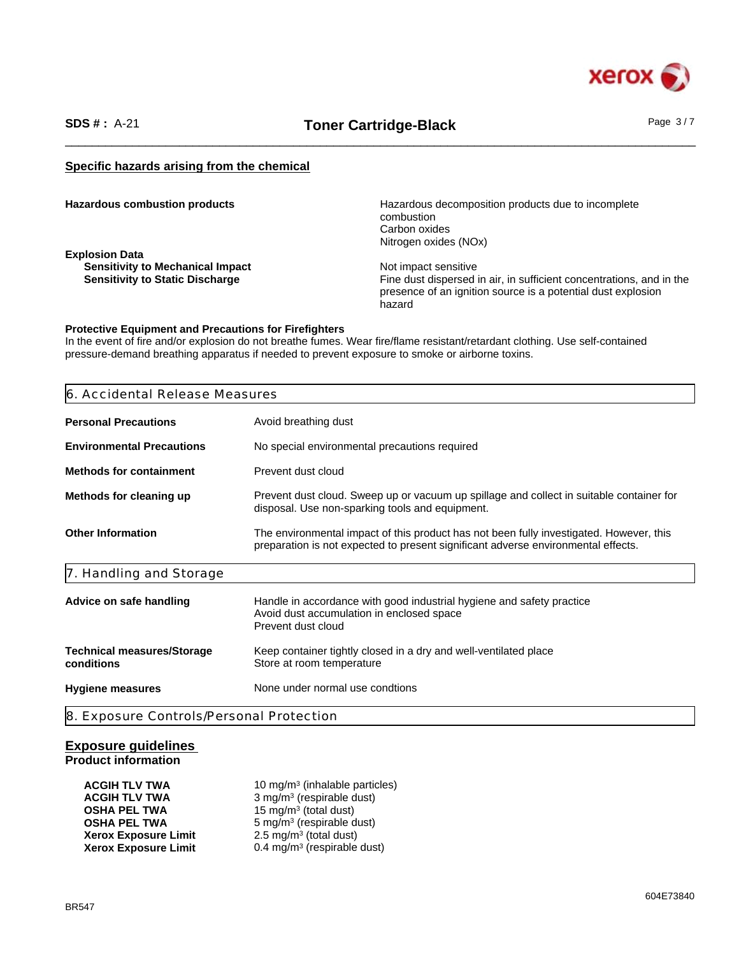

# \_\_\_\_\_\_\_\_\_\_\_\_\_\_\_\_\_\_\_\_\_\_\_\_\_\_\_\_\_\_\_\_\_\_\_\_\_\_\_\_\_\_\_\_\_\_\_\_\_\_\_\_\_\_\_\_\_\_\_\_\_\_\_\_\_\_\_\_\_\_\_\_\_\_\_\_\_\_\_\_\_\_\_\_\_\_\_\_\_\_\_\_\_\_ **SDS # :** A-21 **Toner Cartridge-Black** Page 3 / 7

# **Specific hazards arising from the chemical**

| <b>Hazardous combustion products</b> |  |  |  |
|--------------------------------------|--|--|--|
|--------------------------------------|--|--|--|

**Explosion Data Sensitivity to Mechanical Impact <br>
Sensitivity to Static Discharge Manual Sensitivity to Static Discharge Manual Sensitive Sensitive Sensitive S** 

Hazardous decomposition products due to incomplete combustion Carbon oxides Nitrogen oxides (NOx)

Fine dust dispersed in air, in sufficient concentrations, and in the presence of an ignition source is a potential dust explosion hazard

#### **Protective Equipment and Precautions for Firefighters**

In the event of fire and/or explosion do not breathe fumes. Wear fire/flame resistant/retardant clothing. Use self-contained pressure-demand breathing apparatus if needed to prevent exposure to smoke or airborne toxins.

| 6. Accidental Release Measures                  |                                                                                                                                                                              |
|-------------------------------------------------|------------------------------------------------------------------------------------------------------------------------------------------------------------------------------|
| <b>Personal Precautions</b>                     | Avoid breathing dust                                                                                                                                                         |
| <b>Environmental Precautions</b>                | No special environmental precautions required                                                                                                                                |
| <b>Methods for containment</b>                  | Prevent dust cloud                                                                                                                                                           |
| Methods for cleaning up                         | Prevent dust cloud. Sweep up or vacuum up spillage and collect in suitable container for<br>disposal. Use non-sparking tools and equipment.                                  |
| <b>Other Information</b>                        | The environmental impact of this product has not been fully investigated. However, this<br>preparation is not expected to present significant adverse environmental effects. |
| 7. Handling and Storage                         |                                                                                                                                                                              |
| Advice on safe handling                         | Handle in accordance with good industrial hygiene and safety practice<br>Avoid dust accumulation in enclosed space<br>Prevent dust cloud                                     |
| <b>Technical measures/Storage</b><br>conditions | Keep container tightly closed in a dry and well-ventilated place<br>Store at room temperature                                                                                |
| <b>Hygiene measures</b>                         | None under normal use condtions                                                                                                                                              |

# **Exposure guidelines Product information**

| ACGIH TLV TWA        | 10 mg/m <sup>3</sup> (inhalable particles) |
|----------------------|--------------------------------------------|
| ACGIH TLV TWA        | 3 mg/m <sup>3</sup> (respirable dust)      |
| OSHA PEL TWA         | 15 mg/m <sup>3</sup> (total dust)          |
| OSHA PEL TWA         | 5 mg/m <sup>3</sup> (respirable dust)      |
| Xerox Exposure Limit | $2.5 \text{ mg/m}^3$ (total dust)          |
| Xerox Exposure Limit | 0.4 mg/m <sup>3</sup> (respirable dust)    |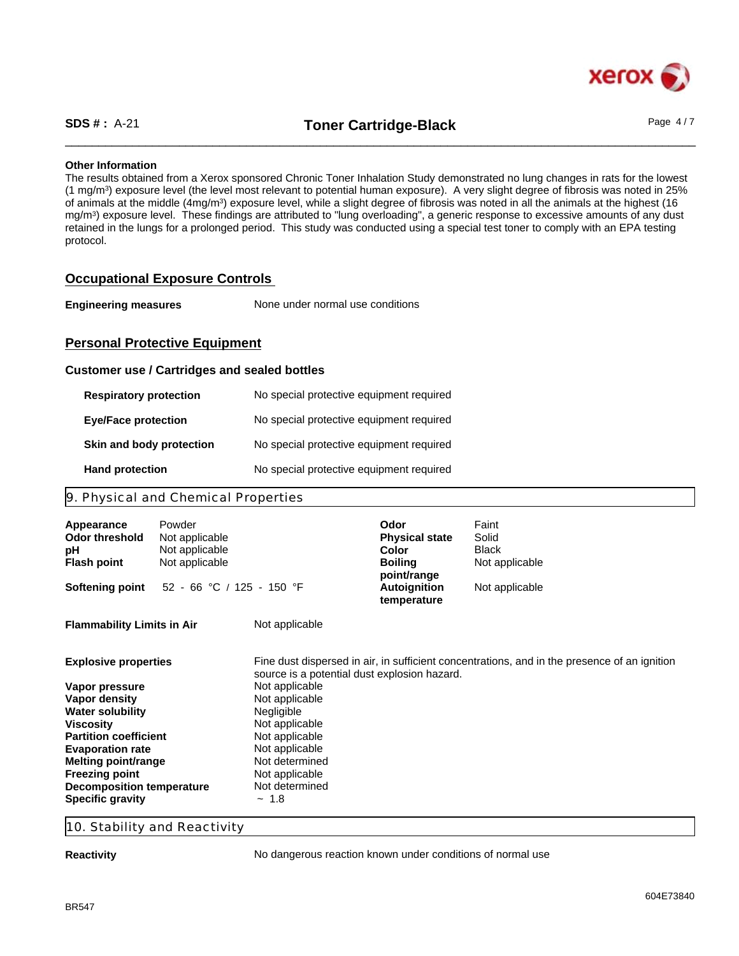

\_\_\_\_\_\_\_\_\_\_\_\_\_\_\_\_\_\_\_\_\_\_\_\_\_\_\_\_\_\_\_\_\_\_\_\_\_\_\_\_\_\_\_\_\_\_\_\_\_\_\_\_\_\_\_\_\_\_\_\_\_\_\_\_\_\_\_\_\_\_\_\_\_\_\_\_\_\_\_\_\_\_\_\_\_\_\_\_\_\_\_\_\_\_ **SDS # :** A-21 **Toner Cartridge-Black** Page 4 / 7

# **Other Information**

The results obtained from a Xerox sponsored Chronic Toner Inhalation Study demonstrated no lung changes in rats for the lowest (1 mg/m<sup>3</sup> ) exposure level (the level most relevant to potential human exposure). A very slight degree of fibrosis was noted in 25% of animals at the middle (4mg/m<sup>3</sup>) exposure level, while a slight degree of fibrosis was noted in all the animals at the highest (16 mg/m<sup>3</sup> ) exposure level. These findings are attributed to "lung overloading", a generic response to excessive amounts of any dust retained in the lungs for a prolonged period. This study was conducted using a special test toner to comply with an EPA testing protocol.

# **Occupational Exposure Controls**

| <b>Engineering measures</b> | None under normal use conditions |  |
|-----------------------------|----------------------------------|--|
|-----------------------------|----------------------------------|--|

# **Personal Protective Equipment**

# **Customer use / Cartridges and sealed bottles**

| <b>Respiratory protection</b> | No special protective equipment required |
|-------------------------------|------------------------------------------|
| <b>Eye/Face protection</b>    | No special protective equipment required |
| Skin and body protection      | No special protective equipment required |
| <b>Hand protection</b>        | No special protective equipment required |

# 9. Physical and Chemical Properties

| Appearance<br><b>Odor threshold</b><br>рH<br><b>Flash point</b>                                                                                                                                                                                                                         | Powder<br>Not applicable<br>Not applicable<br>Not applicable |                                                                                                                                                                                                                    | Odor<br><b>Physical state</b><br>Color<br><b>Boiling</b><br>point/range | Faint<br>Solid<br>Black<br>Not applicable                                                    |
|-----------------------------------------------------------------------------------------------------------------------------------------------------------------------------------------------------------------------------------------------------------------------------------------|--------------------------------------------------------------|--------------------------------------------------------------------------------------------------------------------------------------------------------------------------------------------------------------------|-------------------------------------------------------------------------|----------------------------------------------------------------------------------------------|
| <b>Softening point</b>                                                                                                                                                                                                                                                                  | 52 - 66 °C / 125 - 150 °F                                    |                                                                                                                                                                                                                    | Autoignition<br>temperature                                             | Not applicable                                                                               |
| <b>Flammability Limits in Air</b>                                                                                                                                                                                                                                                       |                                                              | Not applicable                                                                                                                                                                                                     |                                                                         |                                                                                              |
| <b>Explosive properties</b><br>Vapor pressure<br>Vapor density<br><b>Water solubility</b><br>Viscosity<br><b>Partition coefficient</b><br><b>Evaporation rate</b><br><b>Melting point/range</b><br><b>Freezing point</b><br><b>Decomposition temperature</b><br><b>Specific gravity</b> |                                                              | source is a potential dust explosion hazard.<br>Not applicable<br>Not applicable<br>Negligible<br>Not applicable<br>Not applicable<br>Not applicable<br>Not determined<br>Not applicable<br>Not determined<br>~1.8 |                                                                         | Fine dust dispersed in air, in sufficient concentrations, and in the presence of an ignition |

# 10. Stability and Reactivity

**Reactivity Reactivity No dangerous reaction known under conditions of normal use**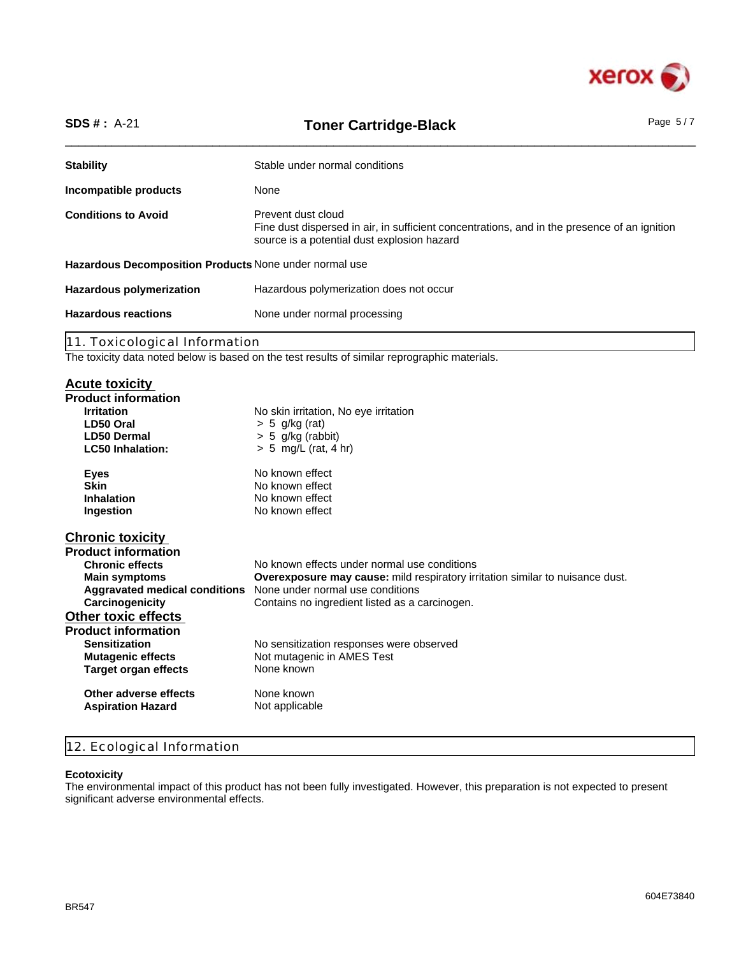

| <b>SDS #: A-21</b>                                     | Page $5/7$<br><b>Toner Cartridge-Black</b>                                                                                                                        |  |  |  |
|--------------------------------------------------------|-------------------------------------------------------------------------------------------------------------------------------------------------------------------|--|--|--|
| <b>Stability</b>                                       | Stable under normal conditions                                                                                                                                    |  |  |  |
| Incompatible products                                  | None                                                                                                                                                              |  |  |  |
| <b>Conditions to Avoid</b>                             | Prevent dust cloud<br>Fine dust dispersed in air, in sufficient concentrations, and in the presence of an ignition<br>source is a potential dust explosion hazard |  |  |  |
| Hazardous Decomposition Products None under normal use |                                                                                                                                                                   |  |  |  |
| <b>Hazardous polymerization</b>                        | Hazardous polymerization does not occur                                                                                                                           |  |  |  |
| <b>Hazardous reactions</b>                             | None under normal processing                                                                                                                                      |  |  |  |
| 11. Toxicological Information                          |                                                                                                                                                                   |  |  |  |

The toxicity data noted below is based on the test results of similar reprographic materials.

# **Acute toxicity**

| <b>Product information</b>           |                                                                                      |
|--------------------------------------|--------------------------------------------------------------------------------------|
| <b>Irritation</b><br>LD50 Oral       | No skin irritation, No eye irritation<br>$> 5$ g/kg (rat)                            |
| <b>LD50 Dermal</b>                   | $> 5$ g/kg (rabbit)                                                                  |
| <b>LC50 Inhalation:</b>              | $> 5$ mg/L (rat, 4 hr)                                                               |
|                                      |                                                                                      |
| <b>Eyes</b>                          | No known effect                                                                      |
| <b>Skin</b>                          | No known effect                                                                      |
| <b>Inhalation</b>                    | No known effect                                                                      |
| Ingestion                            | No known effect                                                                      |
|                                      |                                                                                      |
| <b>Chronic toxicity</b>              |                                                                                      |
| <b>Product information</b>           |                                                                                      |
| <b>Chronic effects</b>               | No known effects under normal use conditions                                         |
| <b>Main symptoms</b>                 | <b>Overexposure may cause:</b> mild respiratory irritation similar to nuisance dust. |
| <b>Aggravated medical conditions</b> | None under normal use conditions                                                     |
| Carcinogenicity                      | Contains no ingredient listed as a carcinogen.                                       |
| <b>Other toxic effects</b>           |                                                                                      |
| <b>Product information</b>           |                                                                                      |
| <b>Sensitization</b>                 | No sensitization responses were observed                                             |
| <b>Mutagenic effects</b>             | Not mutagenic in AMES Test                                                           |
| <b>Target organ effects</b>          | None known                                                                           |
|                                      |                                                                                      |
| Other adverse effects                | None known                                                                           |
| <b>Aspiration Hazard</b>             | Not applicable                                                                       |
|                                      |                                                                                      |

# 12. Ecological Information

#### **Ecotoxicity**

The environmental impact of this product has not been fully investigated. However, this preparation is not expected to present significant adverse environmental effects.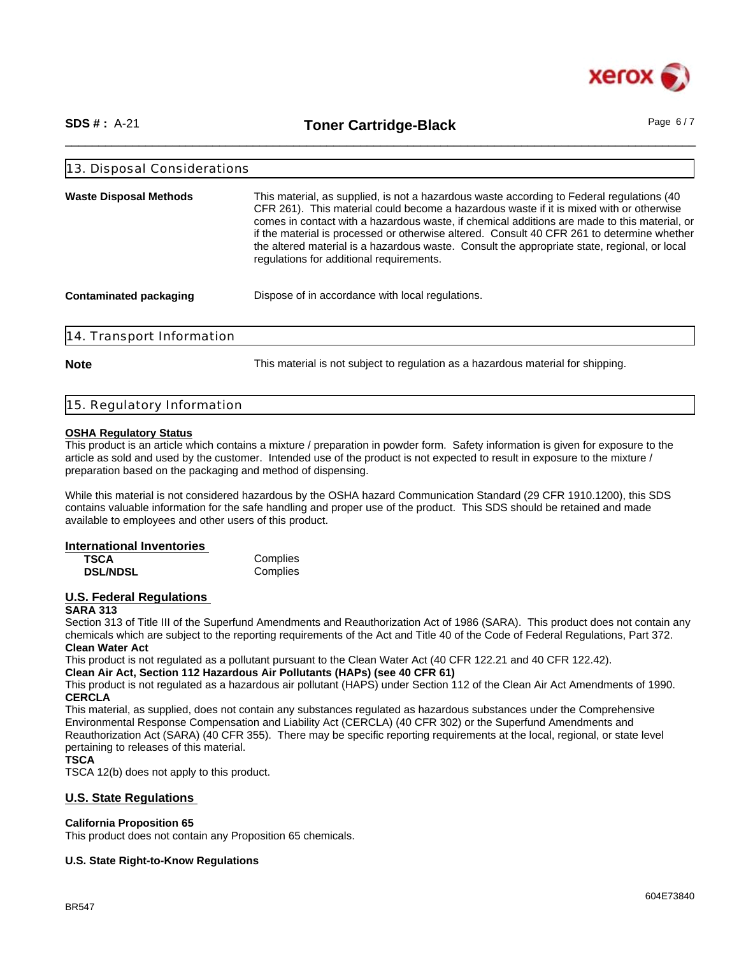

\_\_\_\_\_\_\_\_\_\_\_\_\_\_\_\_\_\_\_\_\_\_\_\_\_\_\_\_\_\_\_\_\_\_\_\_\_\_\_\_\_\_\_\_\_\_\_\_\_\_\_\_\_\_\_\_\_\_\_\_\_\_\_\_\_\_\_\_\_\_\_\_\_\_\_\_\_\_\_\_\_\_\_\_\_\_\_\_\_\_\_\_\_\_ **SDS # :** A-21 **Toner Cartridge-Black** Page 6 / 7

| 13. Disposal Considerations   |                                                                                                                                                                                                                                                                                                                                                                                                                                                                                                                                 |  |
|-------------------------------|---------------------------------------------------------------------------------------------------------------------------------------------------------------------------------------------------------------------------------------------------------------------------------------------------------------------------------------------------------------------------------------------------------------------------------------------------------------------------------------------------------------------------------|--|
| <b>Waste Disposal Methods</b> | This material, as supplied, is not a hazardous waste according to Federal regulations (40)<br>CFR 261). This material could become a hazardous waste if it is mixed with or otherwise<br>comes in contact with a hazardous waste, if chemical additions are made to this material, or<br>if the material is processed or otherwise altered. Consult 40 CFR 261 to determine whether<br>the altered material is a hazardous waste. Consult the appropriate state, regional, or local<br>regulations for additional requirements. |  |
| <b>Contaminated packaging</b> | Dispose of in accordance with local regulations.                                                                                                                                                                                                                                                                                                                                                                                                                                                                                |  |
| 14. Transport Information     |                                                                                                                                                                                                                                                                                                                                                                                                                                                                                                                                 |  |

**Note** This material is not subject to regulation as a hazardous material for shipping.

#### 15. Regulatory Information

# **OSHA Regulatory Status**

This product is an article which contains a mixture / preparation in powder form. Safety information is given for exposure to the article as sold and used by the customer. Intended use of the product is not expected to result in exposure to the mixture / preparation based on the packaging and method of dispensing.

While this material is not considered hazardous by the OSHA hazard Communication Standard (29 CFR 1910.1200), this SDS contains valuable information for the safe handling and proper use of the product. This SDS should be retained and made available to employees and other users of this product.

# **International Inventories**

| TSCA            | Complies |
|-----------------|----------|
| <b>DSL/NDSL</b> | Complies |

#### **U.S. Federal Regulations SARA 313**

Section 313 of Title III of the Superfund Amendments and Reauthorization Act of 1986 (SARA). This product does not contain any chemicals which are subject to the reporting requirements of the Act and Title 40 of the Code of Federal Regulations, Part 372. **Clean Water Act**

This product is not regulated as a pollutant pursuant to the Clean Water Act (40 CFR 122.21 and 40 CFR 122.42).

# **Clean Air Act, Section 112 Hazardous Air Pollutants (HAPs) (see 40 CFR 61)**

This product is not regulated as a hazardous air pollutant (HAPS) under Section 112 of the Clean Air Act Amendments of 1990. **CERCLA**

This material, as supplied, does not contain any substances regulated as hazardous substances under the Comprehensive Environmental Response Compensation and Liability Act (CERCLA) (40 CFR 302) or the Superfund Amendments and Reauthorization Act (SARA) (40 CFR 355). There may be specific reporting requirements at the local, regional, or state level pertaining to releases of this material.

**TSCA**

TSCA 12(b) does not apply to this product.

# **U.S. State Regulations**

# **California Proposition 65**

This product does not contain any Proposition 65 chemicals.

# **U.S. State Right-to-Know Regulations**